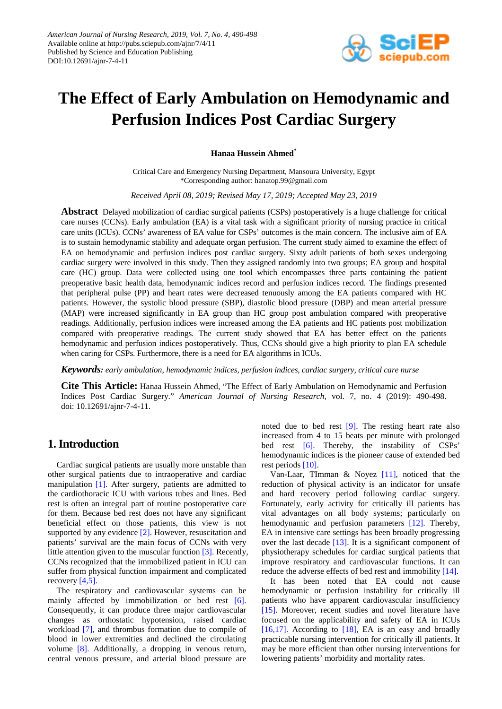

# **The Effect of Early Ambulation on Hemodynamic and Perfusion Indices Post Cardiac Surgery**

**Hanaa Hussein Ahmed\***

Critical Care and Emergency Nursing Department, Mansoura University, Egypt \*Corresponding author: hanatop.99@gmail.com

*Received April 08, 2019; Revised May 17, 2019; Accepted May 23, 2019*

**Abstract** Delayed mobilization of cardiac surgical patients (CSPs) postoperatively is a huge challenge for critical care nurses (CCNs). Early ambulation (EA) is a vital task with a significant priority of nursing practice in critical care units (ICUs). CCNs' awareness of EA value for CSPs' outcomes is the main concern. The inclusive aim of EA is to sustain hemodynamic stability and adequate organ perfusion. The current study aimed to examine the effect of EA on hemodynamic and perfusion indices post cardiac surgery. Sixty adult patients of both sexes undergoing cardiac surgery were involved in this study. Then they assigned randomly into two groups; EA group and hospital care (HC) group. Data were collected using one tool which encompasses three parts containing the patient preoperative basic health data, hemodynamic indices record and perfusion indices record. The findings presented that peripheral pulse (PP) and heart rates were decreased tenuously among the EA patients compared with HC patients. However, the systolic blood pressure (SBP), diastolic blood pressure (DBP) and mean arterial pressure (MAP) were increased significantly in EA group than HC group post ambulation compared with preoperative readings. Additionally, perfusion indices were increased among the EA patients and HC patients post mobilization compared with preoperative readings. The current study showed that EA has better effect on the patients hemodynamic and perfusion indices postoperatively. Thus, CCNs should give a high priority to plan EA schedule when caring for CSPs. Furthermore, there is a need for EA algorithms in ICUs.

*Keywords: early ambulation, hemodynamic indices, perfusion indices, cardiac surgery, critical care nurse*

**Cite This Article:** Hanaa Hussein Ahmed, "The Effect of Early Ambulation on Hemodynamic and Perfusion Indices Post Cardiac Surgery." *American Journal of Nursing Research*, vol. 7, no. 4 (2019): 490-498. doi: 10.12691/ajnr-7-4-11.

# **1. Introduction**

Cardiac surgical patients are usually more unstable than other surgical patients due to intraoperative and cardiac manipulation [\[1\].](#page-7-0) After surgery, patients are admitted to the cardiothoracic ICU with various tubes and lines. Bed rest is often an integral part of routine postoperative care for them. Because bed rest does not have any significant beneficial effect on those patients, this view is not supported by any evidence [\[2\].](#page-7-1) However, resuscitation and patients' survival are the main focus of CCNs with very little attention given to the muscular function [\[3\].](#page-7-2) Recently, CCNs recognized that the immobilized patient in ICU can suffer from physical function impairment and complicated recovery [\[4,5\].](#page-7-3)

The respiratory and cardiovascular systems can be mainly affected by immobilization or bed rest [\[6\].](#page-7-4) Consequently, it can produce three major cardiovascular changes as orthostatic hypotension, raised cardiac workload [\[7\],](#page-7-5) and thrombus formation due to compile of blood in lower extremities and declined the circulating volume [\[8\].](#page-7-6) Additionally, a dropping in venous return, central venous pressure, and arterial blood pressure are noted due to bed rest [\[9\].](#page-7-7) The resting heart rate also increased from 4 to 15 beats per minute with prolonged bed rest [\[6\].](#page-7-4) Thereby, the instability of CSPs' hemodynamic indices is the pioneer cause of extended bed rest periods [\[10\].](#page-7-8)

Van-Laar, TImman & Noyez [\[11\],](#page-7-9) noticed that the reduction of physical activity is an indicator for unsafe and hard recovery period following cardiac surgery. Fortunately, early activity for critically ill patients has vital advantages on all body systems; particularly on hemodynamic and perfusion parameters [\[12\].](#page-7-10) Thereby, EA in intensive care settings has been broadly progressing over the last decade  $[13]$ . It is a significant component of physiotherapy schedules for cardiac surgical patients that improve respiratory and cardiovascular functions. It can reduce the adverse effects of bed rest and immobility [\[14\].](#page-7-12)

It has been noted that EA could not cause hemodynamic or perfusion instability for critically ill patients who have apparent cardiovascular insufficiency [\[15\].](#page-7-13) Moreover, recent studies and novel literature have focused on the applicability and safety of EA in ICUs [\[16,17\].](#page-7-14) According to  $[18]$ , EA is an easy and broadly practicable nursing intervention for critically ill patients. It may be more efficient than other nursing interventions for lowering patients' morbidity and mortality rates.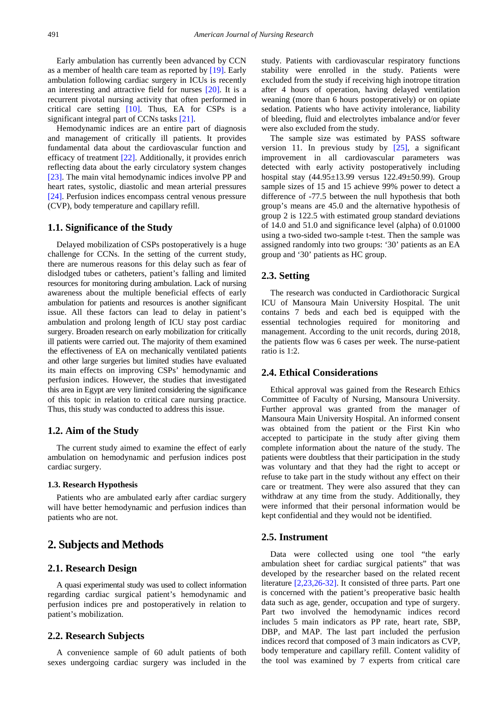Early ambulation has currently been advanced by CCN as a member of health care team as reported by [\[19\].](#page-7-16) Early ambulation following cardiac surgery in ICUs is recently an interesting and attractive field for nurses [\[20\].](#page-7-17) It is a recurrent pivotal nursing activity that often performed in critical care setting [\[10\].](#page-7-8) Thus, EA for CSPs is a significant integral part of CCNs tasks [\[21\].](#page-7-18) 

Hemodynamic indices are an entire part of diagnosis and management of critically ill patients. It provides fundamental data about the cardiovascular function and efficacy of treatment [\[22\].](#page-7-19) Additionally, it provides enrich reflecting data about the early circulatory system changes [\[23\].](#page-7-20) The main vital hemodynamic indices involve PP and heart rates, systolic, diastolic and mean arterial pressures [\[24\].](#page-7-21) Perfusion indices encompass central venous pressure (CVP), body temperature and capillary refill.

#### **1.1. Significance of the Study**

Delayed mobilization of CSPs postoperatively is a huge challenge for CCNs. In the setting of the current study, there are numerous reasons for this delay such as fear of dislodged tubes or catheters, patient's falling and limited resources for monitoring during ambulation. Lack of nursing awareness about the multiple beneficial effects of early ambulation for patients and resources is another significant issue. All these factors can lead to delay in patient's ambulation and prolong length of ICU stay post cardiac surgery. Broaden research on early mobilization for critically ill patients were carried out. The majority of them examined the effectiveness of EA on mechanically ventilated patients and other large surgeries but limited studies have evaluated its main effects on improving CSPs' hemodynamic and perfusion indices. However, the studies that investigated this area in Egypt are very limited considering the significance of this topic in relation to critical care nursing practice. Thus, this study was conducted to address this issue.

#### **1.2. Aim of the Study**

The current study aimed to examine the effect of early ambulation on hemodynamic and perfusion indices post cardiac surgery.

#### **1.3. Research Hypothesis**

Patients who are ambulated early after cardiac surgery will have better hemodynamic and perfusion indices than patients who are not.

## **2. Subjects and Methods**

### **2.1. Research Design**

A quasi experimental study was used to collect information regarding cardiac surgical patient's hemodynamic and perfusion indices pre and postoperatively in relation to patient's mobilization.

#### **2.2. Research Subjects**

A convenience sample of 60 adult patients of both sexes undergoing cardiac surgery was included in the study. Patients with cardiovascular respiratory functions stability were enrolled in the study. Patients were excluded from the study if receiving high inotrope titration after 4 hours of operation, having delayed ventilation weaning (more than 6 hours postoperatively) or on opiate sedation. Patients who have activity intolerance, liability of bleeding, fluid and electrolytes imbalance and/or fever were also excluded from the study.

The sample size was estimated by PASS software version 11. In previous study by [\[25\],](#page-7-22) a significant improvement in all cardiovascular parameters was detected with early activity postoperatively including hospital stay (44.95±13.99 versus 122.49±50.99). Group sample sizes of 15 and 15 achieve 99% power to detect a difference of -77.5 between the null hypothesis that both group's means are 45.0 and the alternative hypothesis of group 2 is 122.5 with estimated group standard deviations of 14.0 and 51.0 and significance level (alpha) of 0.01000 using a two-sided two-sample t-test. Then the sample was assigned randomly into two groups: '30' patients as an EA group and '30' patients as HC group.

#### **2.3. Setting**

The research was conducted in Cardiothoracic Surgical ICU of Mansoura Main University Hospital. The unit contains 7 beds and each bed is equipped with the essential technologies required for monitoring and management. According to the unit records, during 2018, the patients flow was 6 cases per week. The nurse-patient ratio is 1:2.

## **2.4. Ethical Considerations**

Ethical approval was gained from the Research Ethics Committee of Faculty of Nursing, Mansoura University. Further approval was granted from the manager of Mansoura Main University Hospital. An informed consent was obtained from the patient or the First Kin who accepted to participate in the study after giving them complete information about the nature of the study. The patients were doubtless that their participation in the study was voluntary and that they had the right to accept or refuse to take part in the study without any effect on their care or treatment. They were also assured that they can withdraw at any time from the study. Additionally, they were informed that their personal information would be kept confidential and they would not be identified.

#### **2.5. Instrument**

Data were collected using one tool "the early ambulation sheet for cardiac surgical patients" that was developed by the researcher based on the related recent literature [\[2,23,26-32\].](#page-7-1) It consisted of three parts. Part one is concerned with the patient's preoperative basic health data such as age, gender, occupation and type of surgery. Part two involved the hemodynamic indices record includes 5 main indicators as PP rate, heart rate, SBP, DBP, and MAP. The last part included the perfusion indices record that composed of 3 main indicators as CVP, body temperature and capillary refill. Content validity of the tool was examined by 7 experts from critical care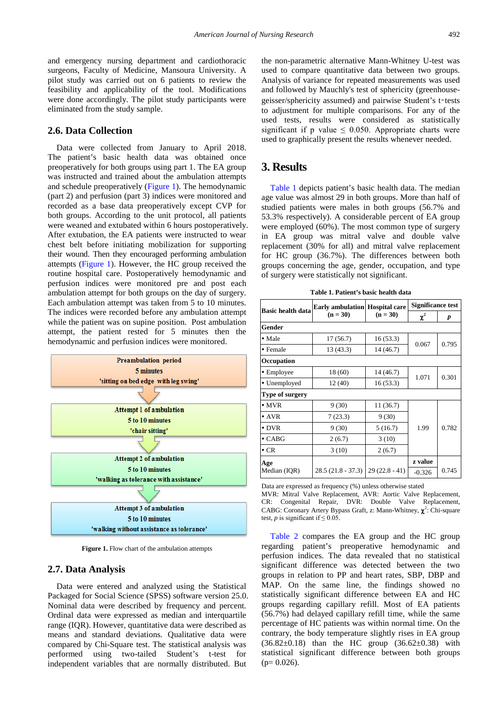and emergency nursing department and cardiothoracic surgeons, Faculty of Medicine, Mansoura University. A pilot study was carried out on 6 patients to review the feasibility and applicability of the tool. Modifications were done accordingly. The pilot study participants were eliminated from the study sample.

#### **2.6. Data Collection**

Data were collected from January to April 2018. The patient's basic health data was obtained once preoperatively for both groups using part 1. The EA group was instructed and trained about the ambulation attempts and schedule preoperatively [\(Figure 1\)](#page-2-0). The hemodynamic (part 2) and perfusion (part 3) indices were monitored and recorded as a base data preoperatively except CVP for both groups. According to the unit protocol, all patients were weaned and extubated within 6 hours postoperatively. After extubation, the EA patients were instructed to wear chest belt before initiating mobilization for supporting their wound. Then they encouraged performing ambulation attempts [\(Figure 1\)](#page-2-0). However, the HC group received the routine hospital care. Postoperatively hemodynamic and perfusion indices were monitored pre and post each ambulation attempt for both groups on the day of surgery. Each ambulation attempt was taken from 5 to 10 minutes. The indices were recorded before any ambulation attempt while the patient was on supine position. Post ambulation attempt, the patient rested for 5 minutes then the hemodynamic and perfusion indices were monitored.

<span id="page-2-0"></span>

**Figure 1.** Flow chart of the ambulation attempts

#### **2.7. Data Analysis**

Data were entered and analyzed using the Statistical Packaged for Social Science (SPSS) software version 25.0. Nominal data were described by frequency and percent. Ordinal data were expressed as median and interquartile range (IQR). However, quantitative data were described as means and standard deviations. Qualitative data were compared by Chi-Square test. The statistical analysis was performed using two-tailed Student's t-test for independent variables that are normally distributed. But

the non-parametric alternative Mann-Whitney U-test was used to compare quantitative data between two groups. Analysis of variance for repeated measurements was used and followed by Mauchly's test of sphericity (greenhousegeisser/sphericity assumed) and pairwise Student's t-tests to adjustment for multiple comparisons. For any of the used tests, results were considered as statistically significant if p value  $\leq$  0.050. Appropriate charts were used to graphically present the results whenever needed.

## **3. Results**

[Table 1](#page-2-1) depicts patient's basic health data. The median age value was almost 29 in both groups. More than half of studied patients were males in both groups (56.7% and 53.3% respectively). A considerable percent of EA group were employed (60%). The most common type of surgery in EA group was mitral valve and double valve replacement (30% for all) and mitral valve replacement for HC group (36.7%). The differences between both groups concerning the age, gender, occupation, and type of surgery were statistically not significant.

<span id="page-2-1"></span>

|                          | <b>Early ambulation Hospital care</b> |                 | <b>Significance test</b> |       |  |  |  |  |
|--------------------------|---------------------------------------|-----------------|--------------------------|-------|--|--|--|--|
| <b>Basic health data</b> | $(n = 30)$                            | $(n = 30)$      | $\chi^2$                 | p     |  |  |  |  |
| Gender                   |                                       |                 |                          |       |  |  |  |  |
| $\bullet$ Male           | 17(56.7)                              | 16(53.3)        | 0.067                    | 0.795 |  |  |  |  |
| • Female                 | 13 (43.3)                             |                 |                          |       |  |  |  |  |
| Occupation               |                                       |                 |                          |       |  |  |  |  |
| • Employee               | 18 (60)                               | 14 (46.7)       | 1.071                    | 0.301 |  |  |  |  |
| • Unemployed             | 12 (40)                               | 16(53.3)        |                          |       |  |  |  |  |
| <b>Type of surgery</b>   |                                       |                 |                          |       |  |  |  |  |
| $\bullet$ MVR            | 9(30)                                 | 11 (36.7)       |                          |       |  |  |  |  |
| $\bullet$ AVR            | 7(23.3)                               | 9(30)           |                          |       |  |  |  |  |
| $\bullet$ DVR            | 9(30)                                 | 5(16.7)         | 1.99                     | 0.782 |  |  |  |  |
| $\bullet$ CABG           | 2(6.7)                                | 3(10)           |                          |       |  |  |  |  |
| $\cdot$ CR               | 3(10)                                 | 2(6.7)          |                          |       |  |  |  |  |
| Age                      |                                       |                 | z value                  |       |  |  |  |  |
| Median (IQR)             | $28.5(21.8 - 37.3)$                   | $29(22.8 - 41)$ | $-0.326$                 | 0.745 |  |  |  |  |

**Table 1. Patient's basic health data**

Data are expressed as frequency (%) unless otherwise stated

MVR: Mitral Valve Replacement, AVR: Aortic Valve Replacement, CR: Congenital Repair, DVR: Double Valve Replacement, CABG: Coronary Artery Bypass Graft, z: Mann-Whitney,  $\chi^2$ : Chi-square test, *p* is significant if  $\leq 0.05$ .

[Table 2](#page-3-0) compares the EA group and the HC group regarding patient's preoperative hemodynamic and perfusion indices. The data revealed that no statistical significant difference was detected between the two groups in relation to PP and heart rates, SBP, DBP and MAP. On the same line, the findings showed no statistically significant difference between EA and HC groups regarding capillary refill. Most of EA patients (56.7%) had delayed capillary refill time, while the same percentage of HC patients was within normal time. On the contrary, the body temperature slightly rises in EA group  $(36.82 \pm 0.18)$  than the HC group  $(36.62 \pm 0.38)$  with statistical significant difference between both groups  $(p= 0.026)$ .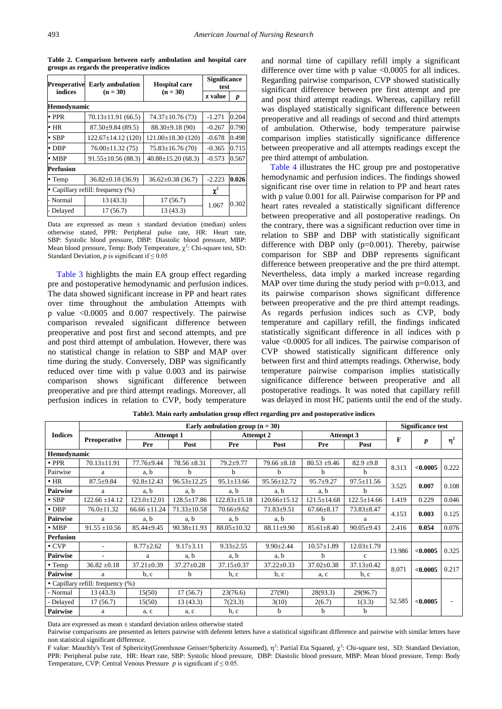<span id="page-3-0"></span>

| <b>Preoperative</b>                 | <b>Early</b> ambulation  | <b>Hospital care</b>     | <b>Significance</b><br>test |       |  |  |  |  |  |  |
|-------------------------------------|--------------------------|--------------------------|-----------------------------|-------|--|--|--|--|--|--|
| indices<br>$(n = 30)$<br>$(n = 30)$ |                          |                          | z value                     | p     |  |  |  |  |  |  |
| Hemodynamic                         |                          |                          |                             |       |  |  |  |  |  |  |
| $\bullet$ PPR                       | $70.13 \pm 11.91$ (66.5) | $74.37 \pm 10.76(73)$    | $-1.271$                    | 0.204 |  |  |  |  |  |  |
| $\cdot$ HR                          | $87.50 \pm 9.84$ (89.5)  | $88.30\pm9.18(90)$       | $-0.267$                    | 0.790 |  |  |  |  |  |  |
| $\cdot$ SBP                         | $122.67 \pm 14.12$ (120) | $121.00 \pm 18.30$ (120) | $-0.678$                    | 0.498 |  |  |  |  |  |  |
| $\bullet$ DBP                       | $76.00 \pm 11.32(75)$    | $75.83 \pm 16.76(70)$    | $-0.365$                    | 0.715 |  |  |  |  |  |  |
| $\bullet$ MBP                       | $91.55 \pm 10.56$ (88.3) | $40.88 \pm 15.20$ (68.3) | $-0.573$                    | 0.567 |  |  |  |  |  |  |
| Perfusion                           |                          |                          |                             |       |  |  |  |  |  |  |
| $\bullet$ Temp                      | $36.82 \pm 0.18$ (36.9)  | $36.62 \pm 0.38$ (36.7)  | $-2.223$                    | 0.026 |  |  |  |  |  |  |
| • Capillary refill: frequency (%)   | $\chi^2$                 |                          |                             |       |  |  |  |  |  |  |
| - Normal                            | 13 (43.3)                | 17(56.7)                 | 1.067                       | 0.302 |  |  |  |  |  |  |
| Delayed                             | 17(56.7)                 | 13 (43.3)                |                             |       |  |  |  |  |  |  |

**Table 2. Comparison between early ambulation and hospital care groups as regards the preoperative indices**

Data are expressed as mean  $\pm$  standard deviation (median) unless otherwise stated, PPR: Peripheral pulse rate, HR: Heart rate, SBP: Systolic blood pressure, DBP: Diastolic blood pressure, MBP: Mean blood pressure, Temp: Body Temperature,  $\chi^2$ : Chi-square test, SD: Standard Deviation,  $p$  is significant if  $\leq 0.05$ 

[Table 3](#page-3-1) highlights the main EA group effect regarding pre and postoperative hemodynamic and perfusion indices. The data showed significant increase in PP and heart rates over time throughout the ambulation Attempts with p value <0.0005 and 0.007 respectively. The pairwise comparison revealed significant difference between preoperative and post first and second attempts, and pre and post third attempt of ambulation. However, there was no statistical change in relation to SBP and MAP over time during the study. Conversely, DBP was significantly reduced over time with p value 0.003 and its pairwise comparison shows significant difference between preoperative and pre third attempt readings. Moreover, all perfusion indices in relation to CVP, body temperature

and normal time of capillary refill imply a significant difference over time with p value <0.0005 for all indices. Regarding pairwise comparison, CVP showed statistically significant difference between pre first attempt and pre and post third attempt readings. Whereas, capillary refill was displayed statistically significant difference between preoperative and all readings of second and third attempts of ambulation. Otherwise, body temperature pairwise comparison implies statistically significance difference between preoperative and all attempts readings except the pre third attempt of ambulation.

[Table 4](#page-5-0) illustrates the HC group pre and postoperative hemodynamic and perfusion indices. The findings showed significant rise over time in relation to PP and heart rates with p value 0.001 for all. Pairwise comparison for PP and heart rates revealed a statistically significant difference between preoperative and all postoperative readings. On the contrary, there was a significant reduction over time in relation to SBP and DBP with statistically significant difference with DBP only (p=0.001). Thereby, pairwise comparison for SBP and DBP represents significant difference between preoperative and the pre third attempt. Nevertheless, data imply a marked increase regarding MAP over time during the study period with  $p=0.013$ , and its pairwise comparison shows significant difference between preoperative and the pre third attempt readings. As regards perfusion indices such as CVP, body temperature and capillary refill, the findings indicated statistically significant difference in all indices with p value <0.0005 for all indices. The pairwise comparison of CVP showed statistically significant difference only between first and third attempts readings. Otherwise, body temperature pairwise comparison implies statistically significance difference between preoperative and all postoperative readings. It was noted that capillary refill was delayed in most HC patients until the end of the study.

<span id="page-3-1"></span>

|                                   | Early ambulation group $(n = 30)$ |                   |                   |                    |                    |                   |                   | <b>Significance test</b> |                  |          |
|-----------------------------------|-----------------------------------|-------------------|-------------------|--------------------|--------------------|-------------------|-------------------|--------------------------|------------------|----------|
| <b>Indices</b>                    | Preoperative                      | <b>Attempt 1</b>  |                   | Attempt 2          |                    | Attempt 3         |                   |                          |                  |          |
|                                   |                                   | Pre               | Post              | Pre                | Post               | Pre               | Post              | F                        | $\boldsymbol{p}$ | $\eta^2$ |
| Hemodynamic                       |                                   |                   |                   |                    |                    |                   |                   |                          |                  |          |
| $\cdot$ PPR                       | 70.13±11.91                       | $77.76 \pm 9.44$  | $78.56 \pm 8.31$  | $79.2 + 9.77$      | $79.66 \pm 8.18$   | $80.53 + 9.46$    | $82.9 \pm 9.8$    | 8.313                    | < 0.0005         |          |
| Pairwise                          | a                                 | a, b              | h                 | h                  | <sub>b</sub>       | <sub>b</sub>      | h                 |                          |                  | 0.222    |
| $\cdot$ HR                        | $87.5 \pm 9.84$                   | $92.8 \pm 12.43$  | $96.53 \pm 12.25$ | $95.1 \pm 13.66$   | 95.56±12.72        | $95.7 \pm 9.27$   | $97.5 \pm 11.56$  | 3.525                    |                  | 0.108    |
| <b>Pairwise</b>                   | a                                 | a, b              | a, b              | a, b               | a, b               | a, b              | h                 |                          | 0.007            |          |
| $\cdot$ SBP                       | $122.66 \pm 14.12$                | $123.0 \pm 12.01$ | $128.5 \pm 17.86$ | $122.83 \pm 15.18$ | $120.66 \pm 15.12$ | $121.5 \pm 14.68$ | $122.5 \pm 14.66$ | 1.419                    | 0.229            | 0.046    |
| $\cdot$ DBP                       | $76.0 \pm 11.32$                  | $66.66 \pm 11.24$ | $71.33 \pm 10.58$ | $70.66 \pm 9.62$   | $71.83 \pm 9.51$   | $67.66 \pm 8.17$  | $73.83 \pm 8.47$  | 4.153                    | 0.003            | 0.125    |
| <b>Pairwise</b>                   | a                                 | a, b              | a, b              | a, b               | a, b               | b                 | a                 |                          |                  |          |
| $\bullet$ MBP                     | $91.55 \pm 10.56$                 | $85.44 \pm 9.45$  | $90.38 \pm 11.93$ | 88.05±10.32        | 88.11±9.90         | $85.61 \pm 8.40$  | $90.05 \pm 9.43$  | 2.416                    | 0.054            | 0.076    |
| <b>Perfusion</b>                  |                                   |                   |                   |                    |                    |                   |                   |                          |                  |          |
| $\cdot$ CVP                       |                                   | $8.77 \pm 2.62$   | $9.17 \pm 3.11$   | $9.33 \pm 2.55$    | $9.90 \pm 2.44$    | $10.57 \pm 1.89$  | $12.03 \pm 1.79$  | 13.986                   | < 0.0005         | 0.325    |
| Pairwise                          |                                   | a                 | a, b              | a, b               | a, b               | b                 | $\mathbf{c}$      |                          |                  |          |
| $\bullet$ Temp                    | $36.82 \pm 0.18$                  | $37.21 \pm 0.39$  | $37.27 \pm 0.28$  | $37.15 \pm 0.37$   | $37.22 \pm 0.33$   | $37.02 \pm 0.38$  | $37.13 \pm 0.42$  | 8.071<br>< 0.0005        |                  | 0.217    |
| <b>Pairwise</b>                   | a                                 | b, c              | h                 | b, c               | b, c               | a, c              | b, c              |                          |                  |          |
| • Capillary refill: frequency (%) |                                   |                   |                   |                    |                    |                   |                   |                          |                  |          |
| - Normal                          | 13(43.3)                          | 15(50)            | 17(56.7)          | 23(76.6)           | 27(90)             | 28(93.3)          | 29(96.7)          |                          |                  |          |
| - Delayed                         | 17(56.7)                          | 15(50)            | 13(43.3)          | 7(23.3)            | 3(10)              | 2(6.7)            | 1(3.3)            | 52.585                   | < 0.0005         |          |
| Pairwise                          | a                                 | a, c              | a, c              | b, c               | b                  | b                 | b                 |                          |                  |          |

**Table3. Main early ambulation group effect regarding pre and postoperative indices**

Data are expressed as mean  $\pm$  standard deviation unless otherwise stated

Pairwise comparisons are presented as letters pairwise with deferent letters have a statistical significant difference and pairwise with similar letters have non statistical significant difference.

F value: Mauchly's Test of Sphericity(Greenhouse Geisser/Sphericity Assumed),  $\eta^2$ : Partial Eta Squared,  $\chi^2$ : Chi-square test, SD: Standard Deviation, PPR: Peripheral pulse rate, HR: Heart rate, SBP: Systolic blood pressure, DBP: Diastolic blood pressure, MBP: Mean blood pressure, Temp: Body Temperature, CVP: Central Venous Pressure  $p$  is significant if  $\leq 0.05$ .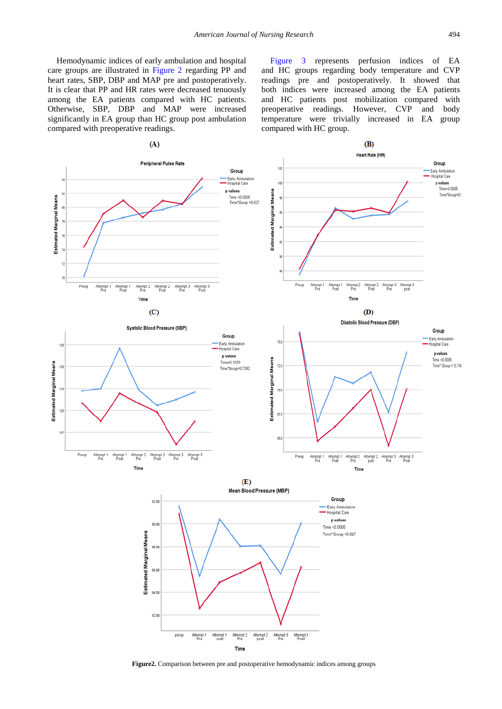Hemodynamic indices of early ambulation and hospital care groups are illustrated in [Figure 2](#page-4-0) regarding PP and heart rates, SBP, DBP and MAP pre and postoperatively. It is clear that PP and HR rates were decreased tenuously among the EA patients compared with HC patients. Otherwise, SBP, DBP and MAP were increased significantly in EA group than HC group post ambulation compared with preoperative readings.

[Figure 3](#page-5-1) represents perfusion indices of EA and HC groups regarding body temperature and CVP readings pre and postoperatively. It showed that both indices were increased among the EA patients and HC patients post mobilization compared with preoperative readings. However, CVP and body temperature were trivially increased in EA group compared with HC group.

<span id="page-4-0"></span>

**Figure2.** Comparison between pre and postoperative hemodynamic indices among groups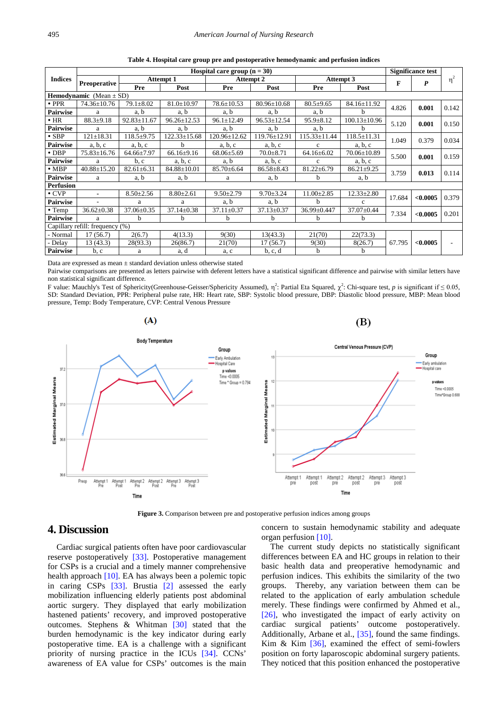<span id="page-5-0"></span>

|                                    | Hospital care group $(n = 30)$ |                   |                    |                  |                   |                    |                    | Significance test |          |          |
|------------------------------------|--------------------------------|-------------------|--------------------|------------------|-------------------|--------------------|--------------------|-------------------|----------|----------|
| <b>Indices</b>                     | Preoperative                   | <b>Attempt 1</b>  |                    | <b>Attempt 2</b> |                   | Attempt 3          |                    | F                 |          | $\eta^2$ |
|                                    |                                | Pre               | Post               | Pre              | Post              | Pre                | Post               |                   | P        |          |
| <b>Hemodynamic</b> (Mean $\pm$ SD) |                                |                   |                    |                  |                   |                    |                    |                   |          |          |
| $\cdot$ PPR                        | 74.36±10.76                    | $79.1 \pm 8.02$   | $81.0 \pm 10.97$   | $78.6 \pm 10.53$ | $80.96 \pm 10.68$ | $80.5 + 9.65$      | 84.16±11.92        | 4.826             | 0.001    | 0.142    |
| <b>Pairwise</b>                    | a                              | a, b              | a, b               | a, b             | a, b              | a, b               | h                  |                   |          |          |
| $\cdot$ HR                         | $88.3 + 9.18$                  | $92.83 \pm 11.67$ | $96.26 \pm 12.53$  | $96.1 \pm 12.49$ | $96.53 \pm 12.54$ | $95.9 \pm 8.12$    | $100.13 \pm 10.96$ | 5.120             | 0.001    | 0.150    |
| <b>Pairwise</b>                    | a                              | a, b              | a, b               | a, b             | a, b              | a, b               | h                  |                   |          |          |
| $\bullet$ SBP                      | $121 \pm 18.31$                | $118.5 + 9.75$    | $122.33 \pm 15.68$ | 120.96±12.62     | 119.76±12.91      | $115.33 \pm 11.44$ | $118.5 \pm 11.31$  | 1.049             | 0.379    | 0.034    |
| <b>Pairwise</b>                    | a, b, c                        | a, b, c           | h                  | a, b, c          | a, b, c           | $\mathbf{c}$       | a, b, c            |                   |          |          |
| $\bullet$ DBP                      | $75.83 \pm 16.76$              | $64.66 \pm 7.97$  | $66.16 \pm 9.16$   | $68.06 \pm 5.69$ | $70.0 + 8.71$     | $64.16 \pm 6.02$   | $70.06 \pm 10.89$  | 5.500             | 0.001    | 0.159    |
| <b>Pairwise</b>                    | a                              | b, c              | a, b, c            | a, b             | a, b, c           | $\mathbf{c}$       | a, b, c            |                   |          |          |
| $\bullet$ MBP                      | $40.88 \pm 15.20$              | $82.61 \pm 6.31$  | $84.88 \pm 10.01$  | $85.70 \pm 6.64$ | $86.58 + 8.43$    | $81.22 \pm 6.79$   | $86.21 \pm 9.25$   | 3.759             | 0.013    | 0.114    |
| <b>Pairwise</b>                    | a                              | a, b              | a, b               | a                | a, b              | b                  | a, b               |                   |          |          |
| Perfusion                          |                                |                   |                    |                  |                   |                    |                    |                   |          |          |
| $\cdot$ CVP                        | $\blacksquare$                 | $8.50 \pm 2.56$   | $8.80 \pm 2.61$    | $9.50 \pm 2.79$  | $9.70 \pm 3.24$   | $11.00 \pm 2.85$   | $12.33 \pm 2.80$   | 17.684            | < 0.0005 | 0.379    |
| <b>Pairwise</b>                    |                                | a                 | a                  | a, b             | a, b              | h                  | $\mathbf{c}$       |                   |          |          |
| $\bullet$ Temp                     | $36.62 \pm 0.38$               | $37.06 \pm 0.35$  | $37.14 \pm 0.38$   | $37.11 \pm 0.37$ | $37.13 \pm 0.37$  | 36.99±0.447        | $37.07 \pm 0.44$   | 7.334             | < 0.0005 | 0.201    |
| <b>Pairwise</b>                    | a                              | <sub>b</sub>      | b                  | b                | b                 | b                  | b                  |                   |          |          |
| Capillary refill: frequency (%)    |                                |                   |                    |                  |                   |                    |                    |                   |          |          |
| - Normal                           | 17(56.7)                       | 2(6.7)            | 4(13.3)            | 9(30)            | 13(43.3)          | 21(70)             | 22(73.3)           |                   |          |          |
| Delay                              | 13 (43.3)                      | 28(93.3)          | 26(86.7)           | 21(70)           | 17(56.7)          | 9(30)              | 8(26.7)            | 67.795            | < 0.0005 |          |
| Pairwise                           | b, c                           | a                 | a, d               | a, c             | b, c, d           | b                  | h                  |                   |          |          |

**Table 4. Hospital care group pre and postoperative hemodynamic and perfusion indices**

Data are expressed as mean  $\pm$  standard deviation unless otherwise stated

Pairwise comparisons are presented as letters pairwise with deferent letters have a statistical significant difference and pairwise with similar letters have non statistical significant difference.

F value: Mauchly's Test of Sphericity(Greenhouse-Geisser/Sphericity Assumed),  $\eta^2$ : Partial Eta Squared,  $\chi^2$ : Chi-square test, *p* is significant if  $\leq 0.05$ , SD: Standard Deviation, PPR: Peripheral pulse rate, HR: Heart rate, SBP: Systolic blood pressure, DBP: Diastolic blood pressure, MBP: Mean blood pressure, Temp: Body Temperature, CVP: Central Venous Pressure

<span id="page-5-1"></span>

**Figure 3.** Comparison between pre and postoperative perfusion indices among groups

# **4. Discussion**

Cardiac surgical patients often have poor cardiovascular reserve postoperatively [\[33\].](#page-7-23) Postoperative management for CSPs is a crucial and a timely manner comprehensive health approach [\[10\].](#page-7-8) EA has always been a polemic topic in caring CSPs [\[33\].](#page-7-23) Brustia [\[2\]](#page-7-1) assessed the early mobilization influencing elderly patients post abdominal aortic surgery. They displayed that early mobilization hastened patients' recovery, and improved postoperative outcomes. Stephens & Whitman [\[30\]](#page-7-24) stated that the burden hemodynamic is the key indicator during early postoperative time. EA is a challenge with a significant priority of nursing practice in the ICUs [\[34\].](#page-7-25) CCNs' awareness of EA value for CSPs' outcomes is the main concern to sustain hemodynamic stability and adequate organ perfusio[n \[10\].](#page-7-8) 

The current study depicts no statistically significant differences between EA and HC groups in relation to their basic health data and preoperative hemodynamic and perfusion indices. This exhibits the similarity of the two groups. Thereby, any variation between them can be related to the application of early ambulation schedule merely. These findings were confirmed by Ahmed et al., [\[26\],](#page-7-26) who investigated the impact of early activity on cardiac surgical patients' outcome postoperatively. Additionally, Arbane et al., [\[35\],](#page-7-27) found the same findings. Kim & Kim  $[36]$ , examined the effect of semi-fowlers position on forty laparoscopic abdominal surgery patients. They noticed that this position enhanced the postoperative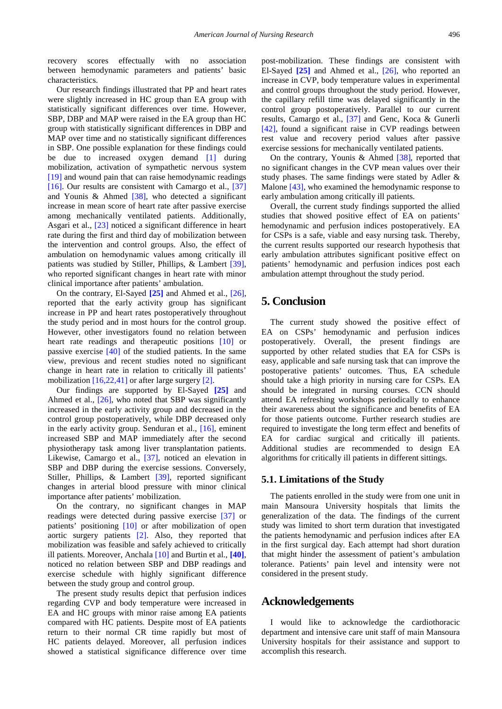recovery scores effectually with no association between hemodynamic parameters and patients' basic characteristics.

Our research findings illustrated that PP and heart rates were slightly increased in HC group than EA group with statistically significant differences over time. However, SBP, DBP and MAP were raised in the EA group than HC group with statistically significant differences in DBP and MAP over time and no statistically significant differences in SBP. One possible explanation for these findings could be due to increased oxygen demand [\[1\]](#page-7-0) during mobilization, activation of sympathetic nervous system [\[19\]](#page-7-16) and wound pain that can raise hemodynamic readings [\[16\].](#page-7-14) Our results are consistent with Camargo et al., [\[37\]](#page-7-29) and Younis & Ahmed [\[38\],](#page-8-0) who detected a significant increase in mean score of heart rate after passive exercise among mechanically ventilated patients. Additionally, Asgari et al., [\[23\]](#page-7-20) noticed a significant difference in heart rate during the first and third day of mobilization between the intervention and control groups. Also, the effect of ambulation on hemodynamic values among critically ill patients was studied by Stiller, Phillips, & Lambert [\[39\],](#page-8-1) who reported significant changes in heart rate with minor clinical importance after patients' ambulation.

On the contrary, El-Sayed **[\[25\]](#page-7-22)** and Ahmed et al., [\[26\],](#page-7-26) reported that the early activity group has significant increase in PP and heart rates postoperatively throughout the study period and in most hours for the control group. However, other investigators found no relation between heart rate readings and therapeutic positions [\[10\]](#page-7-8) or passive exercise [\[40\]](#page-8-2) of the studied patients. In the same view, previous and recent studies noted no significant change in heart rate in relation to critically ill patients' mobilizatio[n \[16,22,41\]](#page-7-14) or after large surgery [\[2\].](#page-7-1)

Our findings are supported by El-Sayed **[\[25\]](#page-7-22)** and Ahmed et al., [\[26\],](#page-7-26) who noted that SBP was significantly increased in the early activity group and decreased in the control group postoperatively, while DBP decreased only in the early activity group. Senduran et al., [\[16\],](#page-7-14) eminent increased SBP and MAP immediately after the second physiotherapy task among liver transplantation patients. Likewise, Camargo et al., [\[37\],](#page-7-29) noticed an elevation in SBP and DBP during the exercise sessions. Conversely, Stiller, Phillips, & Lambert [\[39\],](#page-8-1) reported significant changes in arterial blood pressure with minor clinical importance after patients' mobilization.

On the contrary, no significant changes in MAP readings were detected during passive exercise [\[37\]](#page-7-29) or patients' positioning [\[10\]](#page-7-8) or after mobilization of open aortic surgery patients [\[2\].](#page-7-1) Also, they reported that mobilization was feasible and safely achieved to critically ill patients. Moreover, Anchala [\[10\]](#page-7-8) and Burtin et al., **[\[40\]](#page-8-2)**, noticed no relation between SBP and DBP readings and exercise schedule with highly significant difference between the study group and control group.

The present study results depict that perfusion indices regarding CVP and body temperature were increased in EA and HC groups with minor raise among EA patients compared with HC patients. Despite most of EA patients return to their normal CR time rapidly but most of HC patients delayed. Moreover, all perfusion indices showed a statistical significance difference over time post-mobilization. These findings are consistent with El-Sayed **[\[25\]](#page-7-22)** and Ahmed et al., [\[26\],](#page-7-26) who reported an increase in CVP, body temperature values in experimental and control groups throughout the study period. However, the capillary refill time was delayed significantly in the control group postoperatively. Parallel to our current results, Camargo et al., [\[37\]](#page-7-29) and Genc, Koca & Gunerli [\[42\],](#page-8-3) found a significant raise in CVP readings between rest value and recovery period values after passive exercise sessions for mechanically ventilated patients.

On the contrary, Younis & Ahmed [\[38\],](#page-8-0) reported that no significant changes in the CVP mean values over their study phases. The same findings were stated by Adler & Malone [\[43\],](#page-8-4) who examined the hemodynamic response to early ambulation among critically ill patients.

Overall, the current study findings supported the allied studies that showed positive effect of EA on patients' hemodynamic and perfusion indices postoperatively. EA for CSPs is a safe, viable and easy nursing task. Thereby, the current results supported our research hypothesis that early ambulation attributes significant positive effect on patients' hemodynamic and perfusion indices post each ambulation attempt throughout the study period.

# **5. Conclusion**

The current study showed the positive effect of EA on CSPs' hemodynamic and perfusion indices postoperatively. Overall, the present findings are supported by other related studies that EA for CSPs is easy, applicable and safe nursing task that can improve the postoperative patients' outcomes. Thus, EA schedule should take a high priority in nursing care for CSPs. EA should be integrated in nursing courses. CCN should attend EA refreshing workshops periodically to enhance their awareness about the significance and benefits of EA for those patients outcome. Further research studies are required to investigate the long term effect and benefits of EA for cardiac surgical and critically ill patients. Additional studies are recommended to design EA algorithms for critically ill patients in different sittings.

#### **5.1. Limitations of the Study**

The patients enrolled in the study were from one unit in main Mansoura University hospitals that limits the generalization of the data. The findings of the current study was limited to short term duration that investigated the patients hemodynamic and perfusion indices after EA in the first surgical day. Each attempt had short duration that might hinder the assessment of patient's ambulation tolerance. Patients' pain level and intensity were not considered in the present study.

## **Acknowledgements**

I would like to acknowledge the cardiothoracic department and intensive care unit staff of main Mansoura University hospitals for their assistance and support to accomplish this research.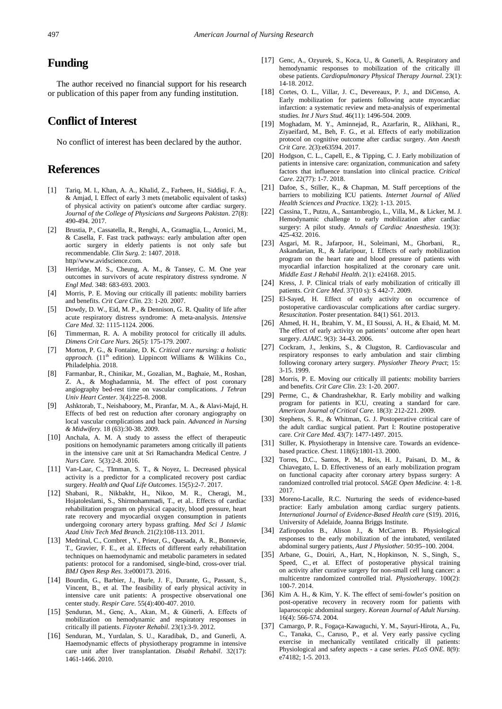# **Funding**

The author received no financial support for his research or publication of this paper from any funding institution.

# **Conflict of Interest**

No conflict of interest has been declared by the author.

# **References**

- <span id="page-7-0"></span>[1] Tariq, M. I., Khan, A. A., Khalid, Z., Farheen, H., Siddiqi, F. A., & Amjad, I. Effect of early 3 mets (metabolic equivalent of tasks) of physical activity on patient's outcome after cardiac surgery. *Journal of the College of Physicians and Surgeons Pakistan*. 27(8): 490-494. 2017.
- <span id="page-7-1"></span>[2] Brustia, P., Cassatella, R., Renghi, A., Gramaglia, L., Aronici, M., & Casella, F. Fast track pathways: early ambulation after open aortic surgery in elderly patients is not only safe but recommendable. *Clin Surg*. 2: 1407. 2018. http//www.avidscience.com.
- <span id="page-7-2"></span>[3] Herridge, M. S., Cheung, A. M., & Tansey, C. M. One year outcomes in survivors of acute respiratory distress syndrome. *N Engl Med.* 348: 683-693. 2003.
- <span id="page-7-3"></span>[4] Morris, P. E. Moving our critically ill patients: mobility barriers and benefits. *Crit Care Clin.* 23: 1-20. 2007.
- [5] Dowdy, D. W., Eid, M. P., & Dennison, G. R. Quality of life after acute respiratory distress syndrome: A meta-analysis. *Intensive Care Med*. 32: 1115-1124. 2006.
- <span id="page-7-4"></span>[6] Timmerman, R. A. A mobility protocol for critically ill adults. *Dimens Crit Care Nurs*. 26(5): 175-179. 2007.
- <span id="page-7-5"></span>[7] Morton, P. G., & Fontaine, D. K. *Critical care nursing: a holistic approach.* (11<sup>th</sup> edition). Lippincott Williams & Wilikins Co., Philadelphia. 2018.
- <span id="page-7-6"></span>[8] Farmanbar, R., Chinikar, M., Gozalian, M., Baghaie, M., Roshan, Z. A., & Moghadamnia, M. The effect of post coronary angiography bed-rest time on vascular complications. *J Tehran Univ Heart Center.* 3(4):225-8. 2008.
- <span id="page-7-7"></span>[9] Ashktorab, T., Neishaboory, M., Piranfar, M. A., & Alavi-Majd, H. Effects of bed rest on reduction after coronary angiography on local vascular complications and back pain. *Advanced in Nursing & Midwifery.* 18 (63):30-38. 2009.
- <span id="page-7-8"></span>[10] Anchala, A. M. A study to assess the effect of therapeutic positions on hemodynamic parameters among critically ill patients in the intensive care unit at Sri Ramachandra Medical Centre. *J Nurs Care.* 5(3):2-8. 2016.
- <span id="page-7-9"></span>[11] Van-Laar, C., TImman, S. T., & Noyez, L. Decreased physical activity is a predictor for a complicated recovery post cardiac surgery. *Health and Qual Life Outcomes*. 15(5):2-7. 2017.
- <span id="page-7-10"></span>[12] Shabani, R., Nikbakht, H., Nikoo, M. R., Cheragi, M., Hojatoleslami, S., Shirmohammadi, T., et al.. Effects of cardiac rehabilitation program on physical capacity, blood pressure, heart rate recovery and myocardial oxygen consumption in patients undergoing coronary artery bypass grafting. *Med Sci J Islamic Azad Univ Tech Med Branch*. 21(2):108-113. 2011.
- <span id="page-7-11"></span>[13] Medrinal, C., Combret, Y., Prieur, G., Quesada, A. R., Bonnevie, T., Gravier, F. E., et al. Effects of different early rehabilitation techniques on haemodynamic and metabolic parameters in sedated patients: protocol for a randomised, single-bind, cross-over trial. *BMJ Open Resp Res*. 3:e000173. 2016.
- <span id="page-7-12"></span>[14] Bourdin, G., Barbier, J., Burle, J. F., Durante, G., Passant, S., Vincent, B., et al. The feasibility of early physical activity in intensive care unit patients: A prospective observational one center study. *Respir Care.* 55(4):400-407. 2010.
- <span id="page-7-13"></span>[15] Şenduran, M., Genç, A., Akan, M., & Günerli, A. Effects of mobilization on hemodynamic and respiratory responses in critically ill patients. *Fizyoter Rehabil*. 23(1):3-9. 2012.
- <span id="page-7-14"></span>[16] Senduran, M., Yurdalan, S. U., Karadibak, D., and Gunerli, A. Haemodynamic effects of physiotherapy programme in intensive care unit after liver transplantation. *Disabil Rehabil*. 32(17): 1461-1466. 2010.
- [17] Genc, A., Ozyurek, S., Koca, U., & Gunerli, A. Respiratory and hemodynamic responses to mobilization of the critically ill obese patients. *Cardiopulmonary Physical Therapy Journal*. 23(1): 14-18. 2012.
- <span id="page-7-15"></span>[18] Cortes, O. L., Villar, J. C., Devereaux, P. J., and DiCenso, A. Early mobilization for patients following acute myocardiac infarction: a systematic review and meta-analysis of experimental studies. *Int J Nurs Stud*. 46(11): 1496-504. 2009.
- <span id="page-7-16"></span>[19] Moghadam, M. Y., Aminnejad, R., Azarfarin, R., Alikhani, R., Ziyaeifard, M., Beh, F. G., et al. Effects of early mobilization protocol on cognitive outcome after cardiac surgery. *Ann Anesth Crit Care*. 2(3):e63594. 2017.
- <span id="page-7-17"></span>[20] Hodgson, C. L., Capell, E., & Tipping, C. J. Early mobilization of patients in intensive care: organization, communication and safety factors that influence translation into clinical practice. *Critical Care*. 22(77): 1-7. 2018.
- <span id="page-7-18"></span>[21] Dafoe, S., Stiller, K., & Chapman, M. Staff perceptions of the barriers to mobilizing ICU patients. *Internet Journal of Allied Health Sciences and Practice*. 13(2): 1-13. 2015.
- <span id="page-7-19"></span>[22] Cassina, T., Putzu, A., Santambrogio, L., Villa, M., & Licker, M. J. Hemodynamic challenge to early mobilization after cardiac surgery: A pilot study. *Annals of Cardiac Anaesthesia*. 19(3): 425-432. 2016.
- <span id="page-7-20"></span>[23] Asgari, M. R., Jafarpoor, H., Soleimani, M., Ghorbani, R., Askandarian, R., & Jafaripour, I. Effects of early mobilization program on the heart rate and blood pressure of patients with myocardial infarction hospitalized at the coronary care unit. *Middle East J Rehabil Health*. 2(1): e24168. 2015.
- <span id="page-7-21"></span>[24] Kress, J. P. Clinical trials of early mobilization of critically ill patients. *Crit Care Med*. 37(10 s): S 442-7. 2009.
- <span id="page-7-22"></span>[25] El-Sayed, H. Effect of early activity on occurrence of postoperative cardiovascular complications after cardiac surgery. *Resuscitation*. Poster presentation. 84(1) S61. 2013.
- <span id="page-7-26"></span>[26] Ahmed, H. H., Ibrahim, Y. M., El Soussi, A. H., & Elsaid, M. M. The effect of early activity on patients' outcome after open heart surgery. *AJAIC*. 9(3): 34-43. 2006.
- [27] Cockram, J., Jenkins, S., & Clugston, R. Cardiovascular and respiratory responses to early ambulation and stair climbing following coronary artery surgery. *Physiother Theory Pract*; 15: 3-15. 1999.
- [28] Morris, P. E. Moving our critically ill patients: mobility barriers and benefits. *Crit Care Clin*. 23: 1-20. 2007.
- [29] Perme, C., & Chandrashekhar, R. Early mobility and walking program for patients in ICU, creating a standard for care. *American Journal of Critical Care.* 18(3): 212-221. 2009.
- <span id="page-7-24"></span>[30] Stephens, S. R., & Whitman, G. J. Postoperative critical care of the adult cardiac surgical patient. Part I: Routine postoperative care. *Crit Care Med*. 43(7): 1477-1497. 2015.
- [31] Stiller, K. Physiotherapy in Intensive care. Towards an evidencebased practice. *Chest*. 118(6):1801-13. 2000.
- [32] Torres, D.C., Santos, P. M., Reis, H. J., Paisani, D. M., & Chiavegato, L. D. Effectiveness of an early mobilization program on functional capacity after coronary artery bypass surgery: A randomized controlled trial protocol. *SAGE Open Medicine.* 4: 1-8. 2017.
- <span id="page-7-23"></span>[33] Moreno-Lacalle, R.C. Nurturing the seeds of evidence-based practice: Early ambulation among cardiac surgery patients. *International Journal of Evidence-Based Health care* (S19). 2016, University of Adelaide, Joanna Briggs Institute.
- <span id="page-7-25"></span>[34] Zafiropoulos B., Alison J., & McCarren B. Physiological responses to the early mobilization of the intubated, ventilated abdominal surgery patients, *Aust J Physiother.* 50:95–100. 2004.
- <span id="page-7-27"></span>[35] Arbane, G., Douiri, A., Hart, N., Hopkinson, N. S., Singh, S., Speed, C., et al. Effect of postoperative physical training on activity after curative surgery for non-small cell lung cancer: a multicentre randomized controlled trial. *Physiotherapy*. 100(2): 100-7. 2014.
- <span id="page-7-28"></span>[36] Kim A. H., & Kim, Y. K. The effect of semi-fowler's position on post-operative recovery in recovery room for patients with laparoscopic abdominal surgery. *Korean Journal of Adult Nursing*. 16(4): 566-574. 2004.
- <span id="page-7-29"></span>[37] Camargo, P. R., Fogaça-Kawaguchi, Y. M., Sayuri-Hirota, A., Fu, C., Tanaka, C., Caruso, P., et al. Very early passive cycling exercise in mechanically ventilated critically ill patients: Physiological and safety aspects - a case series. *PLoS ONE*. 8(9): e74182; 1-5. 2013.